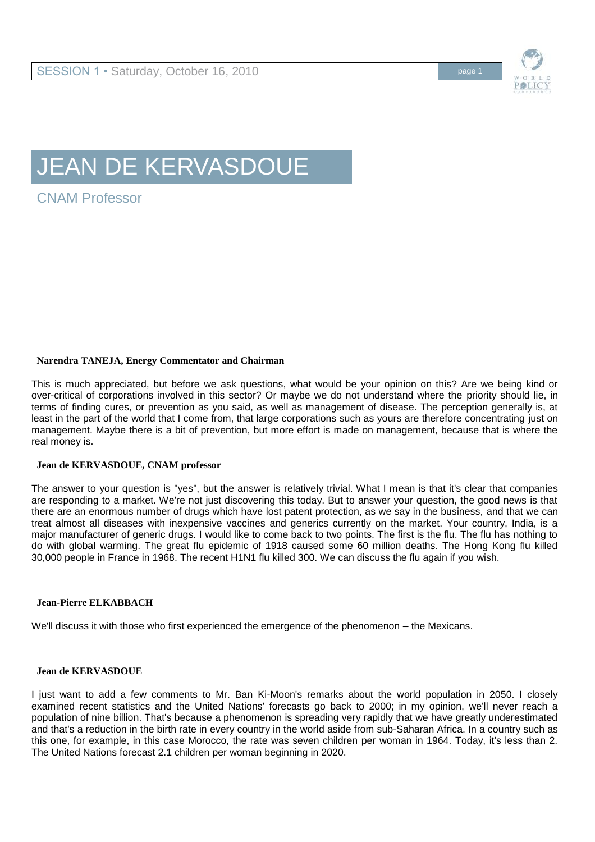

# JEAN DE KERVASDOUE

CNAM Professor

# **Narendra TANEJA, Energy Commentator and Chairman**

This is much appreciated, but before we ask questions, what would be your opinion on this? Are we being kind or over-critical of corporations involved in this sector? Or maybe we do not understand where the priority should lie, in terms of finding cures, or prevention as you said, as well as management of disease. The perception generally is, at least in the part of the world that I come from, that large corporations such as yours are therefore concentrating just on management. Maybe there is a bit of prevention, but more effort is made on management, because that is where the real money is.

## **Jean de KERVASDOUE, CNAM professor**

The answer to your question is "yes", but the answer is relatively trivial. What I mean is that it's clear that companies are responding to a market. We're not just discovering this today. But to answer your question, the good news is that there are an enormous number of drugs which have lost patent protection, as we say in the business, and that we can treat almost all diseases with inexpensive vaccines and generics currently on the market. Your country, India, is a major manufacturer of generic drugs. I would like to come back to two points. The first is the flu. The flu has nothing to do with global warming. The great flu epidemic of 1918 caused some 60 million deaths. The Hong Kong flu killed 30,000 people in France in 1968. The recent H1N1 flu killed 300. We can discuss the flu again if you wish.

## **Jean-Pierre ELKABBACH**

We'll discuss it with those who first experienced the emergence of the phenomenon – the Mexicans.

## **Jean de KERVASDOUE**

I just want to add a few comments to Mr. Ban Ki-Moon's remarks about the world population in 2050. I closely examined recent statistics and the United Nations' forecasts go back to 2000; in my opinion, we'll never reach a population of nine billion. That's because a phenomenon is spreading very rapidly that we have greatly underestimated and that's a reduction in the birth rate in every country in the world aside from sub-Saharan Africa. In a country such as this one, for example, in this case Morocco, the rate was seven children per woman in 1964. Today, it's less than 2. The United Nations forecast 2.1 children per woman beginning in 2020.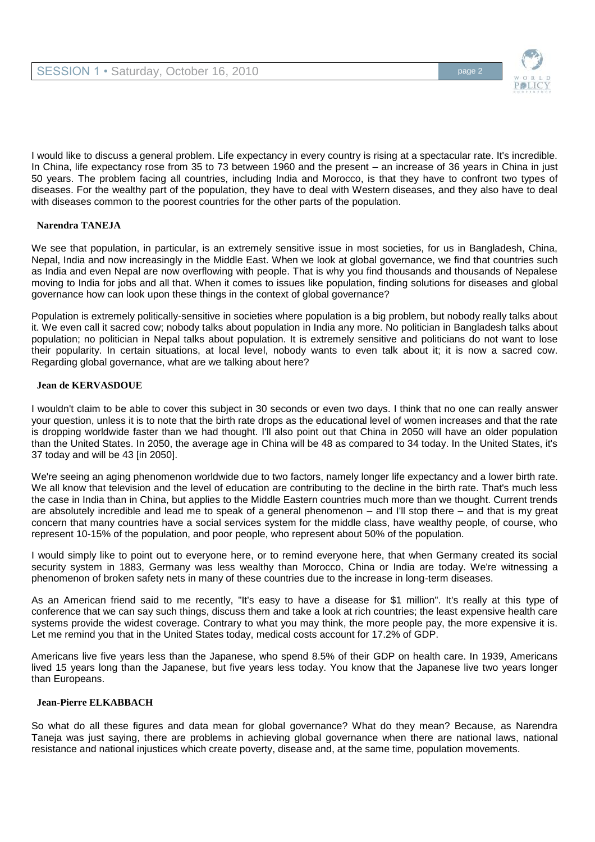

I would like to discuss a general problem. Life expectancy in every country is rising at a spectacular rate. It's incredible. In China, life expectancy rose from 35 to 73 between 1960 and the present – an increase of 36 years in China in just 50 years. The problem facing all countries, including India and Morocco, is that they have to confront two types of diseases. For the wealthy part of the population, they have to deal with Western diseases, and they also have to deal with diseases common to the poorest countries for the other parts of the population.

# **Narendra TANEJA**

We see that population, in particular, is an extremely sensitive issue in most societies, for us in Bangladesh, China, Nepal, India and now increasingly in the Middle East. When we look at global governance, we find that countries such as India and even Nepal are now overflowing with people. That is why you find thousands and thousands of Nepalese moving to India for jobs and all that. When it comes to issues like population, finding solutions for diseases and global governance how can look upon these things in the context of global governance?

Population is extremely politically-sensitive in societies where population is a big problem, but nobody really talks about it. We even call it sacred cow; nobody talks about population in India any more. No politician in Bangladesh talks about population; no politician in Nepal talks about population. It is extremely sensitive and politicians do not want to lose their popularity. In certain situations, at local level, nobody wants to even talk about it; it is now a sacred cow. Regarding global governance, what are we talking about here?

## **Jean de KERVASDOUE**

I wouldn't claim to be able to cover this subject in 30 seconds or even two days. I think that no one can really answer your question, unless it is to note that the birth rate drops as the educational level of women increases and that the rate is dropping worldwide faster than we had thought. I'll also point out that China in 2050 will have an older population than the United States. In 2050, the average age in China will be 48 as compared to 34 today. In the United States, it's 37 today and will be 43 [in 2050].

We're seeing an aging phenomenon worldwide due to two factors, namely longer life expectancy and a lower birth rate. We all know that television and the level of education are contributing to the decline in the birth rate. That's much less the case in India than in China, but applies to the Middle Eastern countries much more than we thought. Current trends are absolutely incredible and lead me to speak of a general phenomenon – and I'll stop there – and that is my great concern that many countries have a social services system for the middle class, have wealthy people, of course, who represent 10-15% of the population, and poor people, who represent about 50% of the population.

I would simply like to point out to everyone here, or to remind everyone here, that when Germany created its social security system in 1883, Germany was less wealthy than Morocco, China or India are today. We're witnessing a phenomenon of broken safety nets in many of these countries due to the increase in long-term diseases.

As an American friend said to me recently, "It's easy to have a disease for \$1 million". It's really at this type of conference that we can say such things, discuss them and take a look at rich countries; the least expensive health care systems provide the widest coverage. Contrary to what you may think, the more people pay, the more expensive it is. Let me remind you that in the United States today, medical costs account for 17.2% of GDP.

Americans live five years less than the Japanese, who spend 8.5% of their GDP on health care. In 1939, Americans lived 15 years long than the Japanese, but five years less today. You know that the Japanese live two years longer than Europeans.

## **Jean-Pierre ELKABBACH**

So what do all these figures and data mean for global governance? What do they mean? Because, as Narendra Taneja was just saying, there are problems in achieving global governance when there are national laws, national resistance and national injustices which create poverty, disease and, at the same time, population movements.